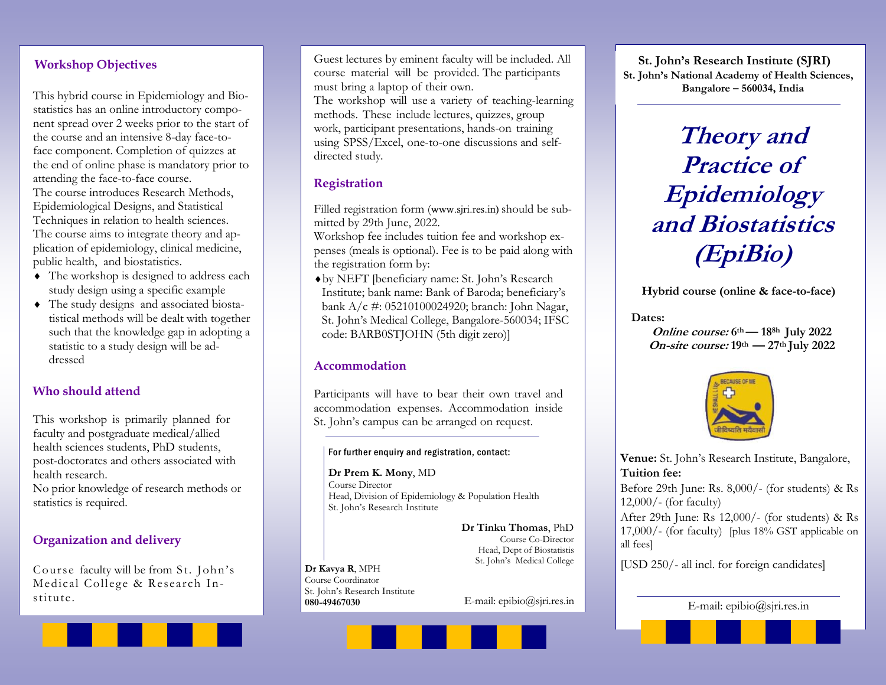## Workshop Objectives

This hybrid course in Epidemiology and Biostatistics has an online introductory component spread over 2 weeks prior to the start of the course and an intensive 8-day face-toface component. Completion of quizzes at the end of online phase is mandatory prior to attending the face-to-face course. The course introduces Research Methods, Epidemiological Designs, and Statistical Techniques in relation to health sciences. The course aims to integrate theory and application of epidemiology, clinical medicine,

public health, and biostatistics.  $\triangle$  The workshop is designed to address each study design using a specific example

 $\triangleleft$  The study designs and associated biostatistical methods will be dealt with together such that the knowledge gap in adopting a statistic to a study design will be addressed

## Who should attend

This workshop is primarily planned for faculty and postgraduate medical/allied health sciences students, PhD students, post-doctorates and others associated with health research.

No prior knowledge of research methods or statistics is required.

## Organization and delivery

Course faculty will be from St. John's Medical College & Research Institute.<br>
080-49467030 E-mail: epibio@sjri.res.in

Guest lectures by eminent faculty will be included. All course material will be provided. The participants must bring a laptop of their own. The workshop will use a variety of teaching-learning methods. These include lectures, quizzes, group work, participant presentations, hands-on training using SPSS/Excel, one-to-one discussions and selfdirected study.

## Registration

Filled registration form (www.sjri.res.in) should be submitted by 29th June, 2022.

Workshop fee includes tuition fee and workshop expenses (meals is optional). Fee is to be paid along with the registration form by:

¨by NEFT [beneficiary name: St. John's Research Institute; bank name: Bank of Baroda; beneficiary's bank A/c #: 05210100024920; branch: John Nagar, St. John's Medical College, Bangalore-560034; IFSC code: BARB0STJOHN (5th digit zero)]

### Accommodation

Participants will have to bear their own travel and accommodation expenses. Accommodation inside St. John's campus can be arranged on request.

#### For further enquiry and registration, contact:

Dr Prem K. Mony, MD Course Director Head, Division of Epidemiology & Population Health St. John's Research Institute

> Dr Tinku Thomas, PhD Course Co-Director Head, Dept of Biostatistis St. John's Medical College

Dr Kavya R, MPH Course Coordinator St. John's Research Institute 080-49467030



Theory and Practice of Epidemiology and Biostatistics (EpiBio)

Hybrid course (online & face-to-face)

#### Dates:

Online course: 6<sup>th</sup> — 18<sup>8h</sup> July 2022 On-site course:  $19<sup>th</sup>$  —  $27<sup>th</sup>$  July 2022



Venue: St. John's Research Institute, Bangalore, Tuition fee:

Before 29th June: Rs. 8,000/- (for students) & Rs 12,000/- (for faculty)

After 29th June: Rs 12,000/- (for students) & Rs 17,000/- (for faculty) [plus 18% GST applicable on all fees]

[USD 250/- all incl. for foreign candidates]

E-mail: epibio@sjri.res.in